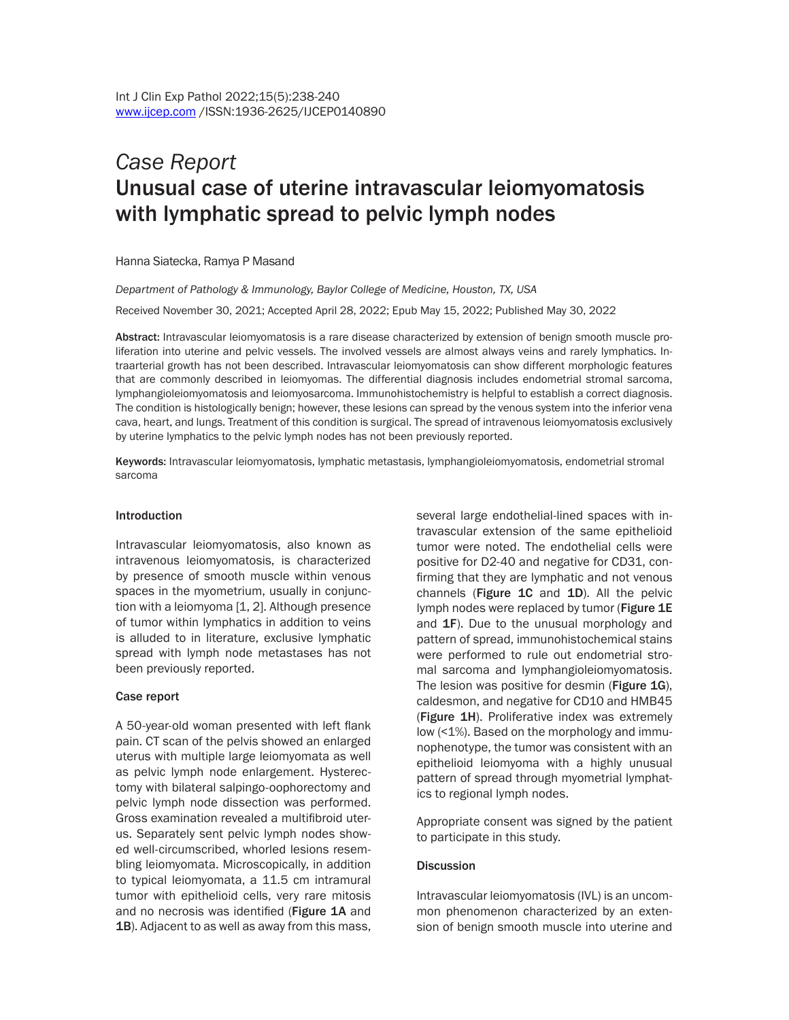# *Case Report* Unusual case of uterine intravascular leiomyomatosis with lymphatic spread to pelvic lymph nodes

Hanna Siatecka, Ramya P Masand

*Department of Pathology & Immunology, Baylor College of Medicine, Houston, TX, USA* Received November 30, 2021; Accepted April 28, 2022; Epub May 15, 2022; Published May 30, 2022

Abstract: Intravascular leiomyomatosis is a rare disease characterized by extension of benign smooth muscle proliferation into uterine and pelvic vessels. The involved vessels are almost always veins and rarely lymphatics. Intraarterial growth has not been described. Intravascular leiomyomatosis can show different morphologic features that are commonly described in leiomyomas. The differential diagnosis includes endometrial stromal sarcoma, lymphangioleiomyomatosis and leiomyosarcoma. Immunohistochemistry is helpful to establish a correct diagnosis. The condition is histologically benign; however, these lesions can spread by the venous system into the inferior vena cava, heart, and lungs. Treatment of this condition is surgical. The spread of intravenous leiomyomatosis exclusively by uterine lymphatics to the pelvic lymph nodes has not been previously reported.

Keywords: Intravascular leiomyomatosis, lymphatic metastasis, lymphangioleiomyomatosis, endometrial stromal sarcoma

#### Introduction

Intravascular leiomyomatosis, also known as intravenous leiomyomatosis, is characterized by presence of smooth muscle within venous spaces in the myometrium, usually in conjunction with a leiomyoma [1, 2]. Although presence of tumor within lymphatics in addition to veins is alluded to in literature, exclusive lymphatic spread with lymph node metastases has not been previously reported.

### Case report

A 50-year-old woman presented with left flank pain. CT scan of the pelvis showed an enlarged uterus with multiple large leiomyomata as well as pelvic lymph node enlargement. Hysterectomy with bilateral salpingo-oophorectomy and pelvic lymph node dissection was performed. Gross examination revealed a multifibroid uterus. Separately sent pelvic lymph nodes showed well-circumscribed, whorled lesions resembling leiomyomata. Microscopically, in addition to typical leiomyomata, a 11.5 cm intramural tumor with epithelioid cells, very rare mitosis and no necrosis was identified (Figure 1A and 1B). Adjacent to as well as away from this mass, several large endothelial-lined spaces with intravascular extension of the same epithelioid tumor were noted. The endothelial cells were positive for D2-40 and negative for CD31, confirming that they are lymphatic and not venous channels (Figure 1C and 1D). All the pelvic lymph nodes were replaced by tumor (Figure 1E and 1F). Due to the unusual morphology and pattern of spread, immunohistochemical stains were performed to rule out endometrial stromal sarcoma and lymphangioleiomyomatosis. The lesion was positive for desmin (Figure 1G), caldesmon, and negative for CD10 and HMB45 (Figure 1H). Proliferative index was extremely low (<1%). Based on the morphology and immunophenotype, the tumor was consistent with an epithelioid leiomyoma with a highly unusual pattern of spread through myometrial lymphatics to regional lymph nodes.

Appropriate consent was signed by the patient to participate in this study.

### **Discussion**

Intravascular leiomyomatosis (IVL) is an uncommon phenomenon characterized by an extension of benign smooth muscle into uterine and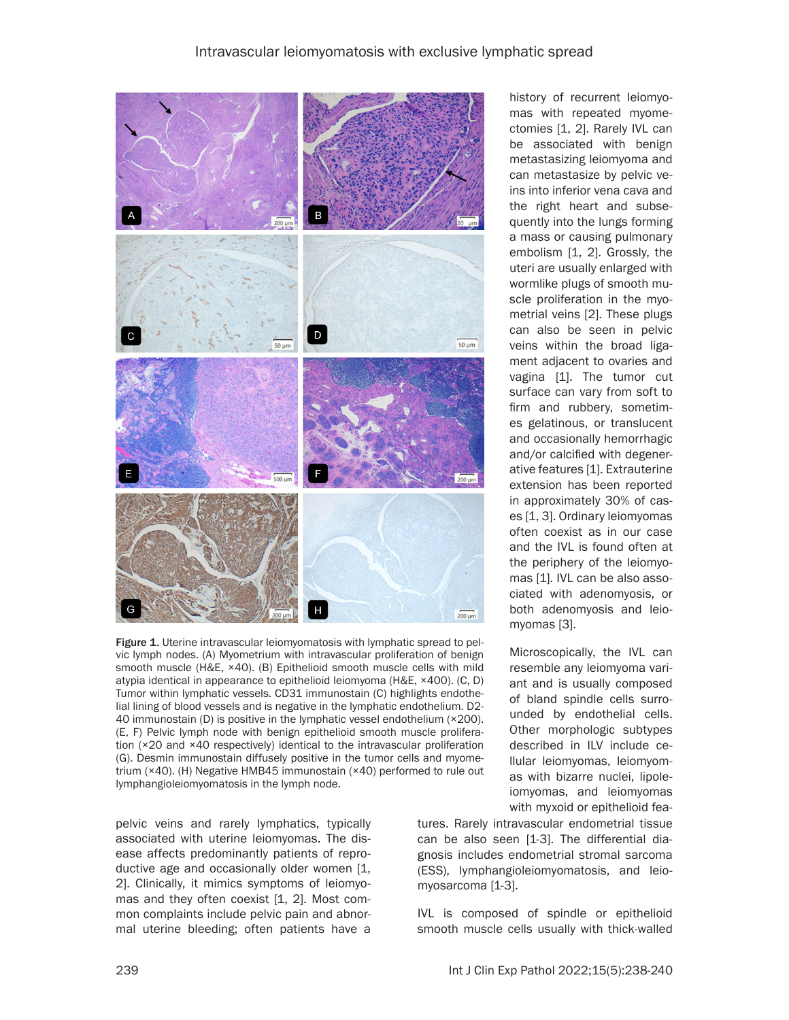

Figure 1. Uterine intravascular leiomyomatosis with lymphatic spread to pelvic lymph nodes. (A) Myometrium with intravascular proliferation of benign smooth muscle (H&E, ×40). (B) Epithelioid smooth muscle cells with mild atypia identical in appearance to epithelioid leiomyoma (H&E, ×400). (C, D) Tumor within lymphatic vessels. CD31 immunostain (C) highlights endothelial lining of blood vessels and is negative in the lymphatic endothelium. D2- 40 immunostain (D) is positive in the lymphatic vessel endothelium (×200). (E, F) Pelvic lymph node with benign epithelioid smooth muscle proliferation (×20 and ×40 respectively) identical to the intravascular proliferation (G). Desmin immunostain diffusely positive in the tumor cells and myometrium (×40). (H) Negative HMB45 immunostain (×40) performed to rule out lymphangioleiomyomatosis in the lymph node.

pelvic veins and rarely lymphatics, typically associated with uterine leiomyomas. The disease affects predominantly patients of reproductive age and occasionally older women [1, 2]. Clinically, it mimics symptoms of leiomyomas and they often coexist [1, 2]. Most common complaints include pelvic pain and abnormal uterine bleeding; often patients have a

history of recurrent leiomyomas with repeated myomectomies [1, 2]. Rarely IVL can be associated with benign metastasizing leiomyoma and can metastasize by pelvic veins into inferior vena cava and the right heart and subsequently into the lungs forming a mass or causing pulmonary embolism [1, 2]. Grossly, the uteri are usually enlarged with wormlike plugs of smooth muscle proliferation in the myometrial veins [2]. These plugs can also be seen in pelvic veins within the broad ligament adjacent to ovaries and vagina [1]. The tumor cut surface can vary from soft to firm and rubbery, sometimes gelatinous, or translucent and occasionally hemorrhagic and/or calcified with degenerative features [1]. Extrauterine extension has been reported in approximately 30% of cases [1, 3]. Ordinary leiomyomas often coexist as in our case and the IVL is found often at the periphery of the leiomyomas [1]. IVL can be also associated with adenomyosis, or both adenomyosis and leiomyomas [3].

Microscopically, the IVL can resemble any leiomyoma variant and is usually composed of bland spindle cells surrounded by endothelial cells. Other morphologic subtypes described in ILV include cellular leiomyomas, leiomyomas with bizarre nuclei, lipoleiomyomas, and leiomyomas with myxoid or epithelioid fea-

tures. Rarely intravascular endometrial tissue can be also seen [1-3]. The differential diagnosis includes endometrial stromal sarcoma (ESS), lymphangioleiomyomatosis, and leiomyosarcoma [1-3].

IVL is composed of spindle or epithelioid smooth muscle cells usually with thick-walled